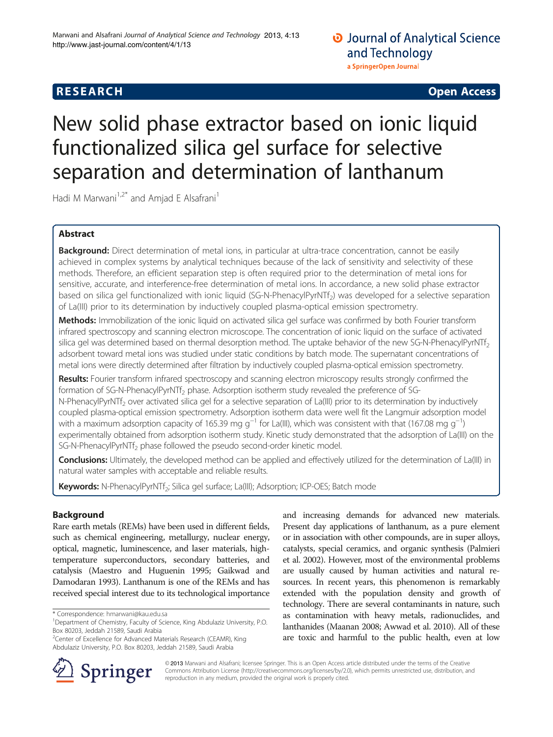# **RESEARCH CHINESE ARCH CHINESE ARCH CHINESE ARCH <b>CHINESE ARCH**

# New solid phase extractor based on ionic liquid functionalized silica gel surface for selective separation and determination of lanthanum

Hadi M Marwani<sup>1,2\*</sup> and Amjad E Alsafrani<sup>1</sup>

# Abstract

Background: Direct determination of metal ions, in particular at ultra-trace concentration, cannot be easily achieved in complex systems by analytical techniques because of the lack of sensitivity and selectivity of these methods. Therefore, an efficient separation step is often required prior to the determination of metal ions for sensitive, accurate, and interference-free determination of metal ions. In accordance, a new solid phase extractor based on silica gel functionalized with ionic liquid (SG-N-PhenacylPyrNTf<sub>2</sub>) was developed for a selective separation of La(III) prior to its determination by inductively coupled plasma-optical emission spectrometry.

Methods: Immobilization of the ionic liquid on activated silica gel surface was confirmed by both Fourier transform infrared spectroscopy and scanning electron microscope. The concentration of ionic liquid on the surface of activated silica gel was determined based on thermal desorption method. The uptake behavior of the new SG-N-PhenacylPyrNTf<sub>2</sub> adsorbent toward metal ions was studied under static conditions by batch mode. The supernatant concentrations of metal ions were directly determined after filtration by inductively coupled plasma-optical emission spectrometry.

Results: Fourier transform infrared spectroscopy and scanning electron microscopy results strongly confirmed the formation of SG-N-PhenacylPyrNTf<sub>2</sub> phase. Adsorption isotherm study revealed the preference of SG-N-PhenacylPyrNTf<sub>2</sub> over activated silica gel for a selective separation of La(III) prior to its determination by inductively coupled plasma-optical emission spectrometry. Adsorption isotherm data were well fit the Langmuir adsorption model with a maximum adsorption capacity of 165.39 mg g<sup>−1</sup> for La(III), which was consistent with that (167.08 mg g<sup>−1</sup>) experimentally obtained from adsorption isotherm study. Kinetic study demonstrated that the adsorption of La(III) on the SG-N-PhenacylPyrNTf<sub>2</sub> phase followed the pseudo second-order kinetic model.

Conclusions: Ultimately, the developed method can be applied and effectively utilized for the determination of La(III) in natural water samples with acceptable and reliable results.

Keywords: N-PhenacylPyrNTf<sub>2</sub>; Silica gel surface; La(III); Adsorption; ICP-OES; Batch mode

# Background

Rare earth metals (REMs) have been used in different fields, such as chemical engineering, metallurgy, nuclear energy, optical, magnetic, luminescence, and laser materials, hightemperature superconductors, secondary batteries, and catalysis (Maestro and Huguenin [1995](#page-9-0); Gaikwad and Damodaran [1993\)](#page-8-0). Lanthanum is one of the REMs and has received special interest due to its technological importance

and increasing demands for advanced new materials. Present day applications of lanthanum, as a pure element or in association with other compounds, are in super alloys, catalysts, special ceramics, and organic synthesis (Palmieri et al. [2002\)](#page-9-0). However, most of the environmental problems are usually caused by human activities and natural resources. In recent years, this phenomenon is remarkably extended with the population density and growth of technology. There are several contaminants in nature, such as contamination with heavy metals, radionuclides, and lanthanides (Maanan [2008;](#page-9-0) Awwad et al. [2010\)](#page-8-0). All of these are toxic and harmful to the public health, even at low



© 2013 Marwani and Alsafrani; licensee Springer. This is an Open Access article distributed under the terms of the Creative Commons Attribution License (<http://creativecommons.org/licenses/by/2.0>), which permits unrestricted use, distribution, and reproduction in any medium, provided the original work is properly cited.

<sup>\*</sup> Correspondence: [hmarwani@kau.edu.sa](mailto:hmarwani@kau.edu.sa) <sup>1</sup>

Department of Chemistry, Faculty of Science, King Abdulaziz University, P.O. Box 80203, Jeddah 21589, Saudi Arabia

<sup>&</sup>lt;sup>2</sup>Center of Excellence for Advanced Materials Research (CEAMR), King Abdulaziz University, P.O. Box 80203, Jeddah 21589, Saudi Arabia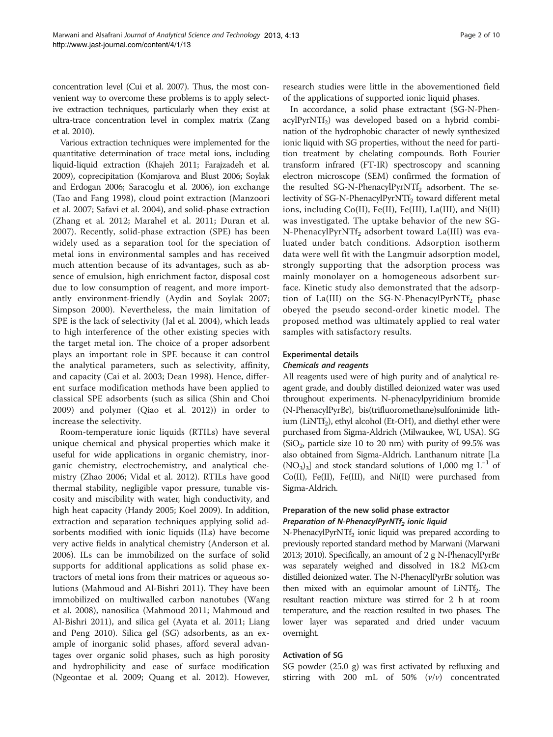concentration level (Cui et al. [2007\)](#page-8-0). Thus, the most convenient way to overcome these problems is to apply selective extraction techniques, particularly when they exist at ultra-trace concentration level in complex matrix (Zang et al. [2010\)](#page-9-0).

Various extraction techniques were implemented for the quantitative determination of trace metal ions, including liquid-liquid extraction (Khajeh [2011](#page-9-0); Farajzadeh et al. [2009\)](#page-8-0), coprecipitation (Komjarova and Blust [2006](#page-9-0); Soylak and Erdogan [2006](#page-9-0); Saracoglu et al. [2006\)](#page-9-0), ion exchange (Tao and Fang [1998\)](#page-9-0), cloud point extraction (Manzoori et al. [2007](#page-9-0); Safavi et al. [2004](#page-9-0)), and solid-phase extraction (Zhang et al. [2012;](#page-9-0) Marahel et al. [2011;](#page-9-0) Duran et al. [2007\)](#page-8-0). Recently, solid-phase extraction (SPE) has been widely used as a separation tool for the speciation of metal ions in environmental samples and has received much attention because of its advantages, such as absence of emulsion, high enrichment factor, disposal cost due to low consumption of reagent, and more importantly environment-friendly (Aydin and Soylak [2007](#page-8-0); Simpson [2000](#page-9-0)). Nevertheless, the main limitation of SPE is the lack of selectivity (Jal et al. [2004](#page-9-0)), which leads to high interference of the other existing species with the target metal ion. The choice of a proper adsorbent plays an important role in SPE because it can control the analytical parameters, such as selectivity, affinity, and capacity (Cai et al. [2003;](#page-8-0) Dean [1998\)](#page-8-0). Hence, different surface modification methods have been applied to classical SPE adsorbents (such as silica (Shin and Choi [2009\)](#page-9-0) and polymer (Qiao et al. [2012\)](#page-9-0)) in order to increase the selectivity.

Room-temperature ionic liquids (RTILs) have several unique chemical and physical properties which make it useful for wide applications in organic chemistry, inorganic chemistry, electrochemistry, and analytical chemistry (Zhao [2006](#page-9-0); Vidal et al. [2012\)](#page-9-0). RTILs have good thermal stability, negligible vapor pressure, tunable viscosity and miscibility with water, high conductivity, and high heat capacity (Handy [2005](#page-9-0); Koel [2009](#page-9-0)). In addition, extraction and separation techniques applying solid adsorbents modified with ionic liquids (ILs) have become very active fields in analytical chemistry (Anderson et al. [2006](#page-8-0)). ILs can be immobilized on the surface of solid supports for additional applications as solid phase extractors of metal ions from their matrices or aqueous solutions (Mahmoud and Al-Bishri [2011](#page-9-0)). They have been immobilized on multiwalled carbon nanotubes (Wang et al. [2008\)](#page-9-0), nanosilica (Mahmoud [2011](#page-9-0); Mahmoud and Al-Bishri [2011](#page-9-0)), and silica gel (Ayata et al. [2011;](#page-8-0) Liang and Peng [2010](#page-9-0)). Silica gel (SG) adsorbents, as an example of inorganic solid phases, afford several advantages over organic solid phases, such as high porosity and hydrophilicity and ease of surface modification (Ngeontae et al. [2009](#page-9-0); Quang et al. [2012](#page-9-0)). However,

research studies were little in the abovementioned field of the applications of supported ionic liquid phases.

In accordance, a solid phase extractant (SG-N-Phen $acyIPyrNTf<sub>2</sub>$  was developed based on a hybrid combination of the hydrophobic character of newly synthesized ionic liquid with SG properties, without the need for partition treatment by chelating compounds. Both Fourier transform infrared (FT-IR) spectroscopy and scanning electron microscope (SEM) confirmed the formation of the resulted SG-N-PhenacylPyrNTf<sub>2</sub> adsorbent. The selectivity of SG-N-PhenacylPyrNTf<sub>2</sub> toward different metal ions, including Co(II), Fe(II), Fe(III), La(III), and Ni(II) was investigated. The uptake behavior of the new SG-N-PhenacylPyrNTf<sub>2</sub> adsorbent toward La(III) was evaluated under batch conditions. Adsorption isotherm data were well fit with the Langmuir adsorption model, strongly supporting that the adsorption process was mainly monolayer on a homogeneous adsorbent surface. Kinetic study also demonstrated that the adsorption of La(III) on the SG-N-PhenacylPyrNTf<sub>2</sub> phase obeyed the pseudo second-order kinetic model. The proposed method was ultimately applied to real water samples with satisfactory results.

# Experimental details

#### Chemicals and reagents

All reagents used were of high purity and of analytical reagent grade, and doubly distilled deionized water was used throughout experiments. N-phenacylpyridinium bromide (N-PhenacylPyrBr), bis(trifluoromethane)sulfonimide lithium (LiNTf<sub>2</sub>), ethyl alcohol (Et-OH), and diethyl ether were purchased from Sigma-Aldrich (Milwaukee, WI, USA). SG  $(SiO<sub>2</sub>)$ , particle size 10 to 20 nm) with purity of 99.5% was also obtained from Sigma-Aldrich. Lanthanum nitrate [La  $(NO<sub>3</sub>)<sub>3</sub>$ ] and stock standard solutions of 1,000 mg L<sup>-1</sup> of Co(II), Fe(II), Fe(III), and Ni(II) were purchased from Sigma-Aldrich.

# Preparation of the new solid phase extractor Preparation of N-PhenacylPyrNTf<sub>2</sub> ionic liquid

 $N$ -PhenacylPyr $NTf_2$  ionic liquid was prepared according to previously reported standard method by Marwani (Marwani [2013](#page-9-0); [2010\)](#page-9-0). Specifically, an amount of 2 g N-PhenacylPyrBr was separately weighed and dissolved in 18.2 MΩ·cm distilled deionized water. The N-PhenacylPyrBr solution was then mixed with an equimolar amount of  $LiNTf<sub>2</sub>$ . The resultant reaction mixture was stirred for 2 h at room temperature, and the reaction resulted in two phases. The lower layer was separated and dried under vacuum overnight.

# Activation of SG

SG powder (25.0 g) was first activated by refluxing and stirring with 200 mL of 50%  $(v/v)$  concentrated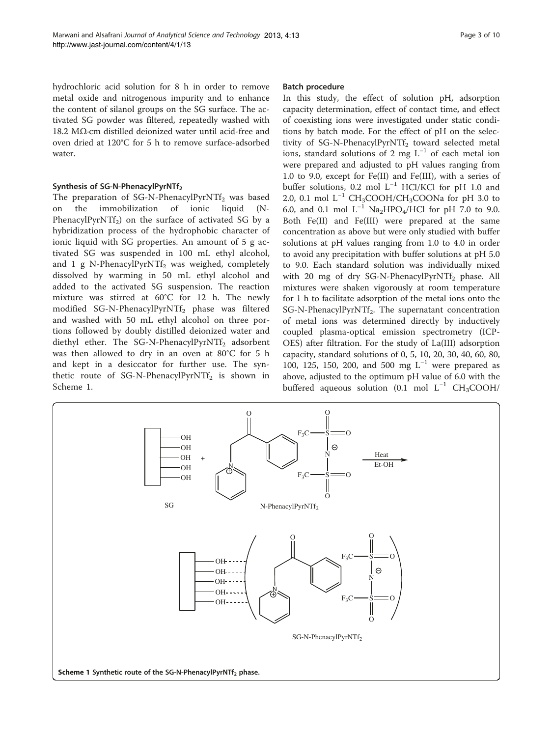hydrochloric acid solution for 8 h in order to remove metal oxide and nitrogenous impurity and to enhance the content of silanol groups on the SG surface. The activated SG powder was filtered, repeatedly washed with 18.2 MΩ·cm distilled deionized water until acid-free and oven dried at 120°C for 5 h to remove surface-adsorbed water.

# Synthesis of SG-N-PhenacylPyrNTf<sub>2</sub>

The preparation of SG-N-PhenacylPyrNTf<sub>2</sub> was based on the immobilization of ionic liquid (N-PhenacylPyrNTf<sub>2</sub>) on the surface of activated SG by a hybridization process of the hydrophobic character of ionic liquid with SG properties. An amount of 5 g activated SG was suspended in 100 mL ethyl alcohol, and 1 g N-PhenacylPyrNTf<sub>2</sub> was weighed, completely dissolved by warming in 50 mL ethyl alcohol and added to the activated SG suspension. The reaction mixture was stirred at 60°C for 12 h. The newly modified SG-N-PhenacylPyrNTf<sub>2</sub> phase was filtered and washed with 50 mL ethyl alcohol on three portions followed by doubly distilled deionized water and diethyl ether. The SG-N-PhenacylPyrNTf<sub>2</sub> adsorbent was then allowed to dry in an oven at 80°C for 5 h and kept in a desiccator for further use. The synthetic route of SG-N-PhenacylPyrNTf<sub>2</sub> is shown in Scheme 1.

# Batch procedure

In this study, the effect of solution pH, adsorption capacity determination, effect of contact time, and effect of coexisting ions were investigated under static conditions by batch mode. For the effect of pH on the selectivity of SG-N-PhenacylPyrNTf<sub>2</sub> toward selected metal ions, standard solutions of 2 mg  $L^{-1}$  of each metal ion were prepared and adjusted to pH values ranging from 1.0 to 9.0, except for Fe(II) and Fe(III), with a series of buffer solutions, 0.2 mol L−<sup>1</sup> HCl/KCl for pH 1.0 and 2.0, 0.1 mol  $L^{-1}$  CH<sub>3</sub>COOH/CH<sub>3</sub>COONa for pH 3.0 to 6.0, and 0.1 mol  $L^{-1}$  Na<sub>2</sub>HPO<sub>4</sub>/HCl for pH 7.0 to 9.0. Both Fe(II) and Fe(III) were prepared at the same concentration as above but were only studied with buffer solutions at pH values ranging from 1.0 to 4.0 in order to avoid any precipitation with buffer solutions at pH 5.0 to 9.0. Each standard solution was individually mixed with 20 mg of dry SG-N-PhenacylPyrNTf<sub>2</sub> phase. All mixtures were shaken vigorously at room temperature for 1 h to facilitate adsorption of the metal ions onto the SG-N-PhenacylPyrNTf<sub>2</sub>. The supernatant concentration of metal ions was determined directly by inductively coupled plasma-optical emission spectrometry (ICP-OES) after filtration. For the study of La(III) adsorption capacity, standard solutions of 0, 5, 10, 20, 30, 40, 60, 80, 100, 125, 150, 200, and 500 mg  $L^{-1}$  were prepared as above, adjusted to the optimum pH value of 6.0 with the buffered aqueous solution (0.1 mol  $L^{-1}$  CH<sub>3</sub>COOH/

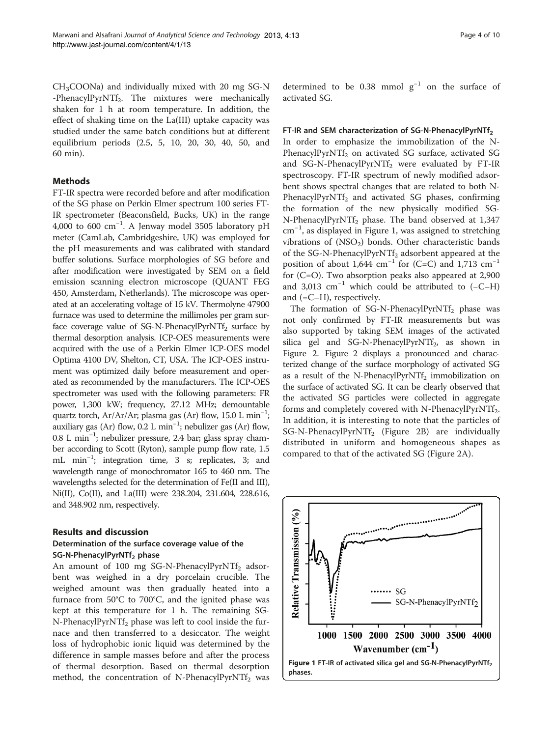$CH<sub>3</sub>COONa$ ) and individually mixed with 20 mg SG-N -PhenacylPyrNTf<sub>2</sub>. The mixtures were mechanically shaken for 1 h at room temperature. In addition, the effect of shaking time on the La(III) uptake capacity was studied under the same batch conditions but at different equilibrium periods (2.5, 5, 10, 20, 30, 40, 50, and 60 min).

#### Methods

FT-IR spectra were recorded before and after modification of the SG phase on Perkin Elmer spectrum 100 series FT-IR spectrometer (Beaconsfield, Bucks, UK) in the range 4,000 to 600 cm−<sup>1</sup> . A Jenway model 3505 laboratory pH meter (CamLab, Cambridgeshire, UK) was employed for the pH measurements and was calibrated with standard buffer solutions. Surface morphologies of SG before and after modification were investigated by SEM on a field emission scanning electron microscope (QUANT FEG 450, Amsterdam, Netherlands). The microscope was operated at an accelerating voltage of 15 kV. Thermolyne 47900 furnace was used to determine the millimoles per gram surface coverage value of  $SG-N-PhenacyIPvrNTf<sub>2</sub> surface by$ thermal desorption analysis. ICP-OES measurements were acquired with the use of a Perkin Elmer ICP-OES model Optima 4100 DV, Shelton, CT, USA. The ICP-OES instrument was optimized daily before measurement and operated as recommended by the manufacturers. The ICP-OES spectrometer was used with the following parameters: FR power, 1,300 kW; frequency, 27.12 MHz; demountable quartz torch, Ar/Ar/Ar; plasma gas (Ar) flow, 15.0 L min−<sup>1</sup> ; auxiliary gas (Ar) flow, 0.2 L min−<sup>1</sup> ; nebulizer gas (Ar) flow, 0.8 L min−<sup>1</sup> ; nebulizer pressure, 2.4 bar; glass spray chamber according to Scott (Ryton), sample pump flow rate, 1.5 mL min−<sup>1</sup> ; integration time, 3 s; replicates, 3; and wavelength range of monochromator 165 to 460 nm. The wavelengths selected for the determination of Fe(II and III), Ni(II), Co(II), and La(III) were 238.204, 231.604, 228.616, and 348.902 nm, respectively.

#### Results and discussion

#### Determination of the surface coverage value of the SG-N-PhenacylPyrNTf<sub>2</sub> phase

An amount of 100 mg SG-N-PhenacylPyrNTf<sub>2</sub> adsorbent was weighed in a dry porcelain crucible. The weighed amount was then gradually heated into a furnace from 50°C to 700°C, and the ignited phase was kept at this temperature for 1 h. The remaining SG-N-PhenacylPyrNTf<sub>2</sub> phase was left to cool inside the furnace and then transferred to a desiccator. The weight loss of hydrophobic ionic liquid was determined by the difference in sample masses before and after the process of thermal desorption. Based on thermal desorption method, the concentration of N-PhenacylPyrNTf<sub>2</sub> was determined to be 0.38 mmol  $g^{-1}$  on the surface of activated SG.

#### FT-IR and SEM characterization of SG-N-PhenacylPyrNTf<sub>2</sub>

In order to emphasize the immobilization of the N-PhenacylPyrNTf<sub>2</sub> on activated SG surface, activated SG and SG-N-PhenacylPyrNTf<sub>2</sub> were evaluated by FT-IR spectroscopy. FT-IR spectrum of newly modified adsorbent shows spectral changes that are related to both N-PhenacylPyrNTf<sub>2</sub> and activated SG phases, confirming the formation of the new physically modified SG-N-PhenacylPyrNTf<sub>2</sub> phase. The band observed at 1,347 cm−<sup>1</sup> , as displayed in Figure 1, was assigned to stretching vibrations of  $(NSO<sub>2</sub>)$  bonds. Other characteristic bands of the SG-N-PhenacylPyrNTf<sub>2</sub> adsorbent appeared at the position of about 1,644 cm<sup>-1</sup> for (C=C) and 1,713 cm<sup>-1</sup> for (C=O). Two absorption peaks also appeared at 2,900 and 3,013  $cm^{-1}$  which could be attributed to (-C–H) and (=C–H), respectively.

The formation of SG-N-PhenacylPyrNTf<sub>2</sub> phase was not only confirmed by FT-IR measurements but was also supported by taking SEM images of the activated silica gel and SG-N-PhenacylPyrNTf<sub>2</sub>, as shown in Figure [2](#page-4-0). Figure [2](#page-4-0) displays a pronounced and characterized change of the surface morphology of activated SG as a result of the N-PhenacylPyrNTf<sub>2</sub> immobilization on the surface of activated SG. It can be clearly observed that the activated SG particles were collected in aggregate forms and completely covered with N-PhenacylPyrNTf<sub>2</sub>. In addition, it is interesting to note that the particles of SG-N-PhenacylPyrNTf<sub>2</sub> (Figure [2](#page-4-0)B) are individually distributed in uniform and homogeneous shapes as compared to that of the activated SG (Figure [2](#page-4-0)A).

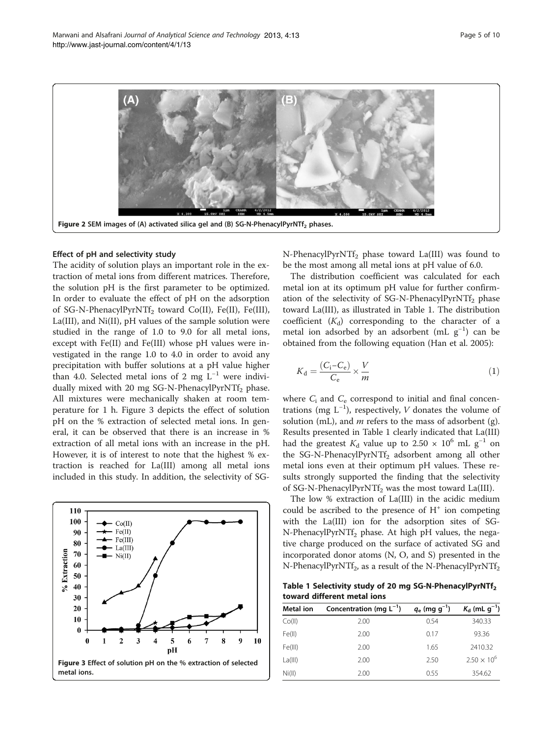<span id="page-4-0"></span>

#### Effect of pH and selectivity study

The acidity of solution plays an important role in the extraction of metal ions from different matrices. Therefore, the solution pH is the first parameter to be optimized. In order to evaluate the effect of pH on the adsorption of SG-N-PhenacylPyrNTf<sub>2</sub> toward Co(II), Fe(II), Fe(III), La(III), and Ni(II), pH values of the sample solution were studied in the range of 1.0 to 9.0 for all metal ions, except with Fe(II) and Fe(III) whose pH values were investigated in the range 1.0 to 4.0 in order to avoid any precipitation with buffer solutions at a pH value higher than 4.0. Selected metal ions of 2 mg  $L^{-1}$  were individually mixed with 20 mg SG-N-PhenacylPyrNTf<sub>2</sub> phase. All mixtures were mechanically shaken at room temperature for 1 h. Figure 3 depicts the effect of solution pH on the % extraction of selected metal ions. In general, it can be observed that there is an increase in % extraction of all metal ions with an increase in the pH. However, it is of interest to note that the highest % extraction is reached for La(III) among all metal ions included in this study. In addition, the selectivity of SG-



N-PhenacylPyrNTf<sub>2</sub> phase toward La(III) was found to be the most among all metal ions at pH value of 6.0.

The distribution coefficient was calculated for each metal ion at its optimum pH value for further confirmation of the selectivity of SG-N-PhenacylPyrNTf<sub>2</sub> phase toward La(III), as illustrated in Table 1. The distribution coefficient  $(K_d)$  corresponding to the character of a metal ion adsorbed by an adsorbent (mL g−<sup>1</sup> ) can be obtained from the following equation (Han et al. [2005\)](#page-8-0):

$$
K_{\rm d} = \frac{(C_{\rm i}-C_{\rm e})}{C_{\rm e}} \times \frac{V}{m} \tag{1}
$$

where  $C_i$  and  $C_e$  correspond to initial and final concentrations (mg  $L^{-1}$ ), respectively, *V* donates the volume of solution (mL), and  $m$  refers to the mass of adsorbent (g). Results presented in Table 1 clearly indicated that La(III) had the greatest  $K_d$  value up to 2.50 × 10<sup>6</sup> mL g<sup>-1</sup> on the SG-N-PhenacylPyrNTf<sub>2</sub> adsorbent among all other metal ions even at their optimum pH values. These results strongly supported the finding that the selectivity of SG-N-PhenacylPyrNTf<sub>2</sub> was the most toward La(III).

The low % extraction of La(III) in the acidic medium could be ascribed to the presence of  $H^+$  ion competing with the La(III) ion for the adsorption sites of SG-N-PhenacylPyrNTf<sub>2</sub> phase. At high pH values, the negative charge produced on the surface of activated SG and incorporated donor atoms (N, O, and S) presented in the N-PhenacylPyrNTf<sub>2</sub>, as a result of the N-PhenacylPyrNTf<sub>2</sub>

Table 1 Selectivity study of 20 mg SG-N-PhenacylPyrNTf2 toward different metal ions

| Metal ion | Concentration (mg $L^{-1}$ ) | $q_e$ (mg g <sup>-1</sup> ) | $K_{\rm d}$ (mL g <sup>-1</sup> ) |
|-----------|------------------------------|-----------------------------|-----------------------------------|
| Co(II)    | 2.00                         | 0.54                        | 340.33                            |
| Fe(II)    | 2.00                         | 0.17                        | 93.36                             |
| Fe(III)   | 2.00                         | 1.65                        | 2410.32                           |
| La(III)   | 2.00                         | 2.50                        | $2.50 \times 10^{6}$              |
| Ni(II)    | 2.00                         | 0.55                        | 354.62                            |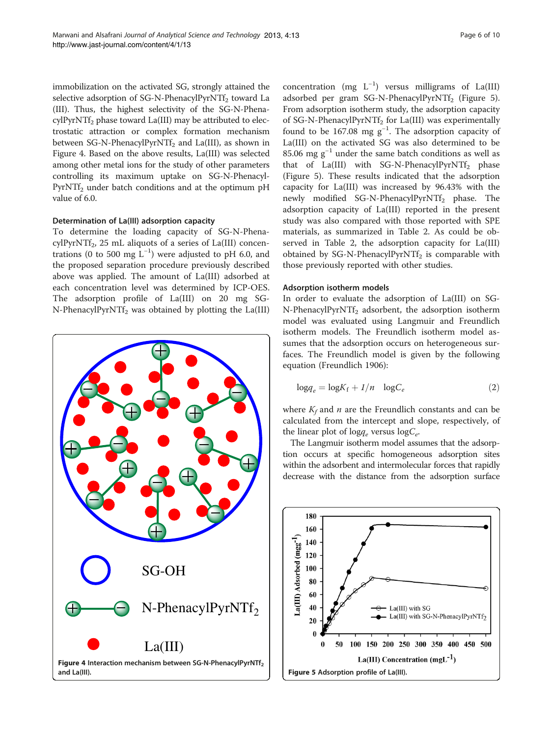immobilization on the activated SG, strongly attained the selective adsorption of SG-N-PhenacylPyrNTf<sub>2</sub> toward La (III). Thus, the highest selectivity of the SG-N-Phena $cylPyrNTf<sub>2</sub>$  phase toward La(III) may be attributed to electrostatic attraction or complex formation mechanism between SG-N-PhenacylPyrNTf<sub>2</sub> and La(III), as shown in Figure 4. Based on the above results, La(III) was selected among other metal ions for the study of other parameters controlling its maximum uptake on SG-N-Phenacyl-PyrNTf<sub>2</sub> under batch conditions and at the optimum pH value of 6.0.

#### Determination of La(III) adsorption capacity

To determine the loading capacity of SG-N-Phena $cvIPvrNTf<sub>2</sub>$ , 25 mL aliquots of a series of La(III) concentrations (0 to 500 mg  $L^{-1}$ ) were adjusted to pH 6.0, and the proposed separation procedure previously described above was applied. The amount of La(III) adsorbed at each concentration level was determined by ICP-OES. The adsorption profile of La(III) on 20 mg SG-N-PhenacylPyrNTf<sub>2</sub> was obtained by plotting the La(III)



concentration (mg  $L^{-1}$ ) versus milligrams of La(III) adsorbed per gram SG-N-PhenacylPyrNTf<sub>2</sub> (Figure 5). From adsorption isotherm study, the adsorption capacity of SG-N-PhenacylPyrNTf<sub>2</sub> for La(III) was experimentally found to be  $167.08 \text{ mg g}^{-1}$ . The adsorption capacity of La(III) on the activated SG was also determined to be 85.06 mg  $g^{-1}$  under the same batch conditions as well as that of La(III) with SG-N-PhenacylPyrNTf<sub>2</sub> phase (Figure 5). These results indicated that the adsorption capacity for La(III) was increased by 96.43% with the newly modified SG-N-PhenacylPyrNTf<sub>2</sub> phase. The adsorption capacity of La(III) reported in the present study was also compared with those reported with SPE materials, as summarized in Table [2.](#page-6-0) As could be observed in Table [2](#page-6-0), the adsorption capacity for La(III) obtained by SG-N-PhenacylPyrNTf<sub>2</sub> is comparable with those previously reported with other studies.

#### Adsorption isotherm models

In order to evaluate the adsorption of La(III) on SG-N-PhenacylPyrNTf<sub>2</sub> adsorbent, the adsorption isotherm model was evaluated using Langmuir and Freundlich isotherm models. The Freundlich isotherm model assumes that the adsorption occurs on heterogeneous surfaces. The Freundlich model is given by the following equation (Freundlich [1906\)](#page-8-0):

$$
\log q_e = \log K_f + 1/n \quad \log C_e \tag{2}
$$

where  $K_f$  and *n* are the Freundlich constants and can be calculated from the intercept and slope, respectively, of the linear plot of log<sub>q</sub> versus log $C_e$ .

The Langmuir isotherm model assumes that the adsorption occurs at specific homogeneous adsorption sites within the adsorbent and intermolecular forces that rapidly decrease with the distance from the adsorption surface

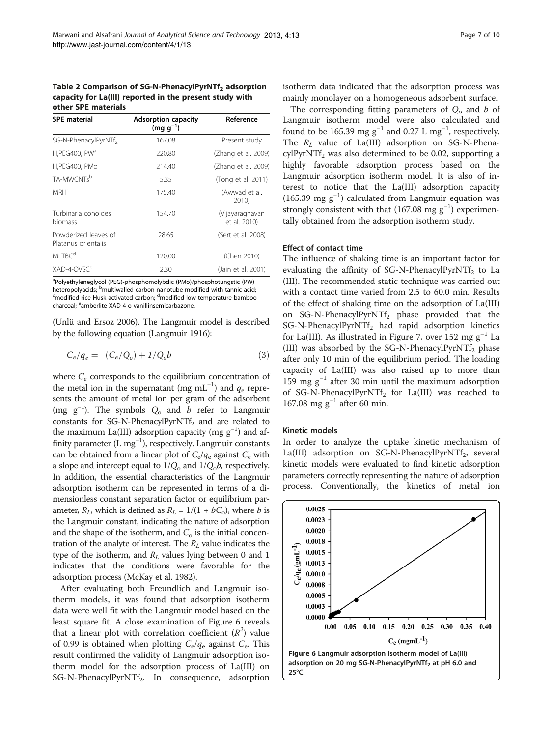#### <span id="page-6-0"></span>Table 2 Comparison of SG-N-PhenacylPyrNTf<sub>2</sub> adsorption capacity for La(III) reported in the present study with other SPE materials

| <b>SPE</b> material                         | <b>Adsorption capacity</b><br>$(mq q^{-1})$ | Reference                       |
|---------------------------------------------|---------------------------------------------|---------------------------------|
| SG-N-PhenacylPyrNTf <sub>2</sub>            | 167.08                                      | Present study                   |
| H,PEG400, PW <sup>a</sup>                   | 220.80                                      | (Zhang et al. 2009)             |
| H,PEG400, PMo                               | 214.40                                      | (Zhang et al. 2009)             |
| TA-MWCNTsb                                  | 5.35                                        | (Tong et al. 2011)              |
| MRH <sup>c</sup>                            | 175.40                                      | (Awwad et al.<br>2010)          |
| Turbinaria conoides<br>biomass              | 154.70                                      | (Vijayaraghavan<br>et al. 2010) |
| Powderized leaves of<br>Platanus orientalis | 28.65                                       | (Sert et al. 2008)              |
| MI TBC <sup>d</sup>                         | 120.00                                      | (Chen 2010)                     |
| XAD-4-OVSC <sup>e</sup>                     | 2.30                                        | (Jain et al. 2001)              |

<sup>a</sup>Polyethyleneglycol (PEG)-phosphomolybdic (PMo)/phosphotungstic (PW) heteropolyacids; <sup>b</sup>multiwalled carbon nanotube modified with tannic acid;<br><sup>S</sup>modified rice Husk activated carbon; <sup>d</sup>modified low-temperature bamboo modified rice Husk activated carbon; <sup>d</sup>modified low-temperature bamboo charcoal; <sup>e</sup>amberlite XAD-4-o-vanillinsemicarbazone.

(Unlü and Ersoz [2006](#page-9-0)). The Langmuir model is described by the following equation (Langmuir [1916](#page-9-0)):

$$
C_e/q_e = (C_e/Q_o) + 1/Q_o b \tag{3}
$$

where  $C_e$  corresponds to the equilibrium concentration of the metal ion in the supernatant (mg mL<sup>-1</sup>) and  $q_e$  represents the amount of metal ion per gram of the adsorbent (mg  $g^{-1}$ ). The symbols  $Q_0$  and  $b$  refer to Langmuir constants for SG-N-PhenacylPyrNTf<sub>2</sub> and are related to the maximum La(III) adsorption capacity (mg  $g^{-1}$ ) and affinity parameter (L mg−<sup>1</sup> ), respectively. Langmuir constants can be obtained from a linear plot of  $C_{\rm e}/q_{\rm e}$  against  $C_{\rm e}$  with a slope and intercept equal to  $1/Q_0$  and  $1/Q_0 b$ , respectively. In addition, the essential characteristics of the Langmuir adsorption isotherm can be represented in terms of a dimensionless constant separation factor or equilibrium parameter,  $R_L$ , which is defined as  $R_L = 1/(1 + bC_o)$ , where *b* is the Langmuir constant, indicating the nature of adsorption and the shape of the isotherm, and  $C<sub>o</sub>$  is the initial concentration of the analyte of interest. The  $R_L$  value indicates the type of the isotherm, and  $R_L$  values lying between 0 and 1 indicates that the conditions were favorable for the adsorption process (McKay et al. [1982](#page-9-0)).

After evaluating both Freundlich and Langmuir isotherm models, it was found that adsorption isotherm data were well fit with the Langmuir model based on the least square fit. A close examination of Figure 6 reveals that a linear plot with correlation coefficient  $(R^2)$  value of 0.99 is obtained when plotting  $C_{\rm e}/q_{\rm e}$  against  $C_{\rm e}$ . This result confirmed the validity of Langmuir adsorption isotherm model for the adsorption process of La(III) on SG-N-PhenacylPyrNTf<sub>2</sub>. In consequence, adsorption isotherm data indicated that the adsorption process was mainly monolayer on a homogeneous adsorbent surface.

The corresponding fitting parameters of  $Q_0$  and b of Langmuir isotherm model were also calculated and found to be 165.39 mg  $g^{-1}$  and 0.27 L mg<sup>-1</sup>, respectively. The  $R_L$  value of La(III) adsorption on SG-N-Phena $cylPyrNTf<sub>2</sub>$  was also determined to be 0.02, supporting a highly favorable adsorption process based on the Langmuir adsorption isotherm model. It is also of interest to notice that the La(III) adsorption capacity (165.39 mg g−<sup>1</sup> ) calculated from Langmuir equation was strongly consistent with that  $(167.08 \text{ mg g}^{-1})$  experimentally obtained from the adsorption isotherm study.

#### Effect of contact time

The influence of shaking time is an important factor for evaluating the affinity of  $SG-N-P$  henacylPyrNTf<sub>2</sub> to La (III). The recommended static technique was carried out with a contact time varied from 2.5 to 60.0 min. Results of the effect of shaking time on the adsorption of La(III) on SG-N-PhenacylPyrNTf<sub>2</sub> phase provided that the  $SG-N-PhenacyIPyrNTf<sub>2</sub>$  had rapid adsorption kinetics for La(III). As illustrated in Figure [7](#page-7-0), over 152 mg  $g^{-1}$  La (III) was absorbed by the SG-N-PhenacylPyrNTf<sub>2</sub> phase after only 10 min of the equilibrium period. The loading capacity of La(III) was also raised up to more than 159 mg  $g^{-1}$  after 30 min until the maximum adsorption of SG-N-PhenacylPyrNTf<sub>2</sub> for La(III) was reached to 167.08 mg  $g^{-1}$  after 60 min.

#### Kinetic models

In order to analyze the uptake kinetic mechanism of La(III) adsorption on SG-N-PhenacylPyrNTf<sub>2</sub>, several kinetic models were evaluated to find kinetic adsorption parameters correctly representing the nature of adsorption process. Conventionally, the kinetics of metal ion

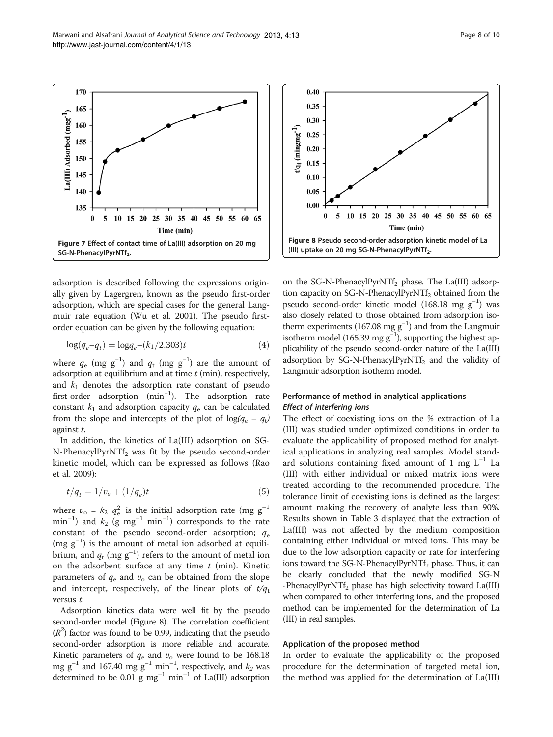adsorption is described following the expressions originally given by Lagergren, known as the pseudo first-order adsorption, which are special cases for the general Langmuir rate equation (Wu et al. [2001](#page-9-0)). The pseudo firstorder equation can be given by the following equation:

$$
\log(q_e - q_t) = \log q_e - (k_1/2.303)t \tag{4}
$$

where  $q_e$  (mg g<sup>-1</sup>) and  $q_t$  (mg g<sup>-1</sup>) are the amount of adsorption at equilibrium and at time  $t$  (min), respectively, and  $k_1$  denotes the adsorption rate constant of pseudo first-order adsorption (min<sup>-1</sup>). The adsorption rate constant  $k_1$  and adsorption capacity  $q_e$  can be calculated from the slope and intercepts of the plot of  $log(q_e - q_t)$ against t.

In addition, the kinetics of La(III) adsorption on SG- $N-PhenacyIPyrNTf<sub>2</sub>$  was fit by the pseudo second-order kinetic model, which can be expressed as follows (Rao et al. [2009\)](#page-9-0):

$$
t/q_t = 1/v_o + (1/q_e)t
$$
\n(5)

where  $v_{o} = k_2 q_{e}^{2}$  is the initial adsorption rate (mg g<sup>-1</sup>  $\text{min}^{-1}$ ) and  $k_2$  (g  $\text{mg}^{-1}$   $\text{min}^{-1}$ ) corresponds to the rate constant of the pseudo second-order adsorption;  $q_e$  $(mg g<sup>-1</sup>)$  is the amount of metal ion adsorbed at equilibrium, and  $q_t$  (mg  $g^{-1}$ ) refers to the amount of metal ion on the adsorbent surface at any time  $t$  (min). Kinetic parameters of  $q_e$  and  $v_o$  can be obtained from the slope and intercept, respectively, of the linear plots of  $t/q_t$ versus t.

Adsorption kinetics data were well fit by the pseudo second-order model (Figure 8). The correlation coefficient  $(R<sup>2</sup>)$  factor was found to be 0.99, indicating that the pseudo second-order adsorption is more reliable and accurate. Kinetic parameters of  $q_e$  and  $v_o$  were found to be 168.18 mg  $g^{-1}$  and 167.40 mg  $g^{-1}$  min<sup>-1</sup>, respectively, and  $k_2$  was determined to be 0.01 g mg<sup>-1</sup> min<sup>-1</sup> of La(III) adsorption on the SG-N-PhenacylPyrNTf<sub>2</sub> phase. The La(III) adsorption capacity on SG-N-PhenacylPyrNTf<sub>2</sub> obtained from the pseudo second-order kinetic model (168.18 mg g<sup>-1</sup>) was also closely related to those obtained from adsorption isotherm experiments (167.08 mg  $g^{-1}$ ) and from the Langmuir isotherm model (165.39 mg  $g^{-1}$ ), supporting the highest applicability of the pseudo second-order nature of the La(III) adsorption by  $SG-N-PhenacyIPyrNTf<sub>2</sub>$  and the validity of Langmuir adsorption isotherm model.

# Performance of method in analytical applications Effect of interfering ions

The effect of coexisting ions on the % extraction of La (III) was studied under optimized conditions in order to evaluate the applicability of proposed method for analytical applications in analyzing real samples. Model standard solutions containing fixed amount of 1 mg  $L^{-1}$  La (III) with either individual or mixed matrix ions were treated according to the recommended procedure. The tolerance limit of coexisting ions is defined as the largest amount making the recovery of analyte less than 90%. Results shown in Table [3](#page-8-0) displayed that the extraction of La(III) was not affected by the medium composition containing either individual or mixed ions. This may be due to the low adsorption capacity or rate for interfering ions toward the SG-N-PhenacylPyrNTf<sub>2</sub> phase. Thus, it can be clearly concluded that the newly modified SG-N  $-P$ henacylPyrNTf<sub>2</sub> phase has high selectivity toward La(III) when compared to other interfering ions, and the proposed method can be implemented for the determination of La (III) in real samples.

## Application of the proposed method

In order to evaluate the applicability of the proposed procedure for the determination of targeted metal ion, the method was applied for the determination of La(III)

<span id="page-7-0"></span>

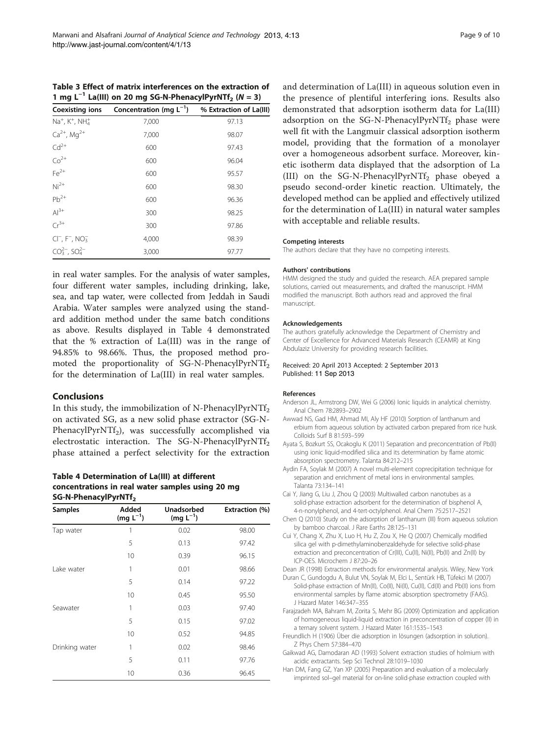<span id="page-8-0"></span>Table 3 Effect of matrix interferences on the extraction of 1 mg L<sup>-1</sup> La(III) on 20 mg SG-N-PhenacylPyrNTf<sub>2</sub> (N = 3)

| <b>Coexisting ions</b>            | Concentration (mg $L^{-1}$ ) | % Extraction of La(III) |  |
|-----------------------------------|------------------------------|-------------------------|--|
| $Na^{+}$ , $K^{+}$ , $NH_{4}^{+}$ | 7,000                        | 97.13                   |  |
| $Ca^{2+}$ , Mg <sup>2+</sup>      | 7,000                        | 98.07                   |  |
| $\mathsf{Cd}^{2+}$                | 600                          | 97.43                   |  |
| $Co2+Fe2+$                        | 600                          | 96.04                   |  |
|                                   | 600                          | 95.57                   |  |
| $Ni2+$                            | 600                          | 98.30                   |  |
| $Pb^{2+}$                         | 600                          | 96.36                   |  |
| $Al^{3+}$                         | 300                          | 98.25                   |  |
| $Cr^{3+}$                         | 300                          | 97.86                   |  |
| $CI^{-}$ , $F^{-}$ , $NO_{3}^{-}$ | 4,000                        | 98.39                   |  |
| $CO_3^{2-}$ , $SO_4^{2-}$         | 3,000                        | 97.77                   |  |

in real water samples. For the analysis of water samples, four different water samples, including drinking, lake, sea, and tap water, were collected from Jeddah in Saudi Arabia. Water samples were analyzed using the standard addition method under the same batch conditions as above. Results displayed in Table 4 demonstrated that the % extraction of La(III) was in the range of 94.85% to 98.66%. Thus, the proposed method promoted the proportionality of SG-N-PhenacylPyrNTf<sub>2</sub> for the determination of La(III) in real water samples.

#### Conclusions

In this study, the immobilization of N-PhenacylPyrNTf<sub>2</sub> on activated SG, as a new solid phase extractor (SG-N-PhenacylPyrNTf<sub>2</sub>), was successfully accomplished via electrostatic interaction. The SG-N-PhenacylPyrNTf<sub>2</sub> phase attained a perfect selectivity for the extraction

#### Table 4 Determination of La(III) at different concentrations in real water samples using 20 mg SG-N-PhenacylPyrNTf<sub>2</sub>

| <b>Samples</b> | Added<br>$(mg L^{-1})$ | <b>Unadsorbed</b><br>$(mg L^{-1})$ | Extraction (%) |
|----------------|------------------------|------------------------------------|----------------|
| Tap water      | 1                      | 0.02                               | 98.00          |
|                | 5                      | 0.13                               | 97.42          |
|                | 10                     | 0.39                               | 96.15          |
| Lake water     | 1                      | 0.01                               | 98.66          |
|                | 5                      | 0.14                               | 97.22          |
|                | 10                     | 0.45                               | 95.50          |
| Seawater       | 1                      | 0.03                               | 97.40          |
|                | 5                      | 0.15                               | 97.02          |
|                | 10                     | 0.52                               | 94.85          |
| Drinking water | 1                      | 0.02                               | 98.46          |
|                | 5                      | 0.11                               | 97.76          |
|                | 10                     | 0.36                               | 96.45          |

and determination of La(III) in aqueous solution even in the presence of plentiful interfering ions. Results also demonstrated that adsorption isotherm data for La(III) adsorption on the SG-N-PhenacylPyrNTf<sub>2</sub> phase were well fit with the Langmuir classical adsorption isotherm model, providing that the formation of a monolayer over a homogeneous adsorbent surface. Moreover, kinetic isotherm data displayed that the adsorption of La (III) on the SG-N-PhenacylPyrNTf<sub>2</sub> phase obeyed a pseudo second-order kinetic reaction. Ultimately, the developed method can be applied and effectively utilized for the determination of La(III) in natural water samples with acceptable and reliable results.

#### Competing interests

The authors declare that they have no competing interests.

#### Authors' contributions

HMM designed the study and guided the research. AEA prepared sample solutions, carried out measurements, and drafted the manuscript. HMM modified the manuscript. Both authors read and approved the final manuscript.

#### Acknowledgements

The authors gratefully acknowledge the Department of Chemistry and Center of Excellence for Advanced Materials Research (CEAMR) at King Abdulaziz University for providing research facilities.

#### Received: 20 April 2013 Accepted: 2 September 2013 Published: 11 Sep 2013

#### References

- Anderson JL, Armstrong DW, Wei G (2006) Ionic liquids in analytical chemistry. Anal Chem 78:2893–2902
- Awwad NS, Gad HM, Ahmad MI, Aly HF (2010) Sorption of lanthanum and erbium from aqueous solution by activated carbon prepared from rice husk. Colloids Surf B 81:593–599
- Ayata S, Bozkurt SS, Ocakoglu K (2011) Separation and preconcentration of Pb(II) using ionic liquid-modified silica and its determination by flame atomic absorption spectrometry. Talanta 84:212–215
- Aydin FA, Soylak M (2007) A novel multi-element coprecipitation technique for separation and enrichment of metal ions in environmental samples. Talanta 73:134–141
- Cai Y, Jiang G, Liu J, Zhou Q (2003) Multiwalled carbon nanotubes as a solid-phase extraction adsorbent for the determination of bisphenol A, 4-n-nonylphenol, and 4-tert-octylphenol. Anal Chem 75:2517–2521
- Chen Q (2010) Study on the adsorption of lanthanum (III) from aqueous solution by bamboo charcoal. J Rare Earths 28:125–131
- Cui Y, Chang X, Zhu X, Luo H, Hu Z, Zou X, He Q (2007) Chemically modified silica gel with p-dimethylaminobenzaldehyde for selective solid-phase extraction and preconcentration of Cr(III), Cu(II), Ni(II), Pb(II) and Zn(II) by ICP-OES. Microchem J 87:20–26

Dean JR (1998) Extraction methods for environmental analysis. Wiley, New York

- Duran C, Gundogdu A, Bulut VN, Soylak M, Elci L, Sentürk HB, Tüfekci M (2007) Solid-phase extraction of Mn(II), Co(II), Ni(II), Cu(II), Cd(II) and Pb(II) ions from environmental samples by flame atomic absorption spectrometry (FAAS). J Hazard Mater 146:347–355
- Farajzadeh MA, Bahram M, Zorita S, Mehr BG (2009) Optimization and application of homogeneous liquid-liquid extraction in preconcentration of copper (II) in a ternary solvent system. J Hazard Mater 161:1535–1543
- Freundlich H (1906) Über die adsorption in lösungen (adsorption in solution). Z Phys Chem 57:384–470
- Gaikwad AG, Damodaran AD (1993) Solvent extraction studies of holmium with acidic extractants. Sep Sci Technol 28:1019–1030
- Han DM, Fang GZ, Yan XP (2005) Preparation and evaluation of a molecularly imprinted sol–gel material for on-line solid-phase extraction coupled with